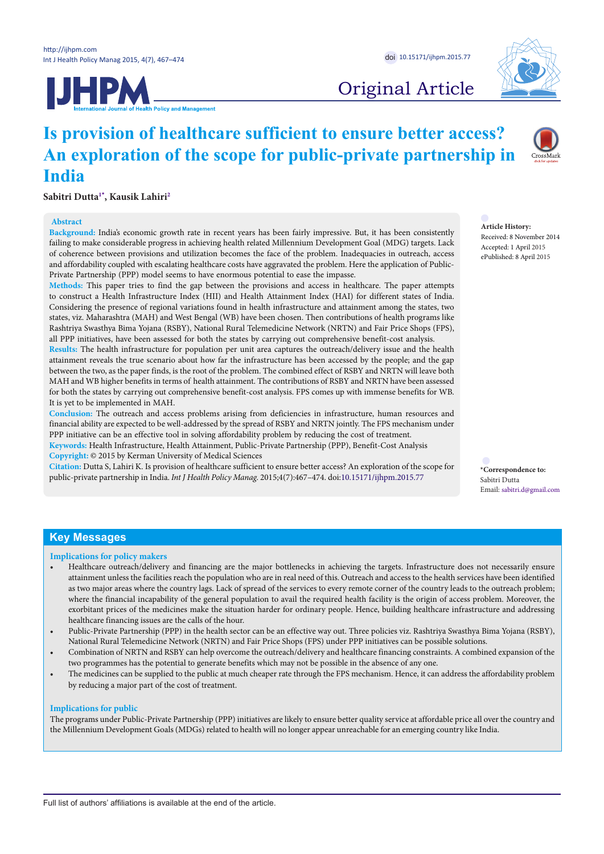



# Original Article

# **Is provision of healthcare sufficient to ensure better access? An exploration of the scope for public-private partnership in India**

**Sabitri Dutt[a1](#page-7-0)[\\*](#page-0-0) , Kausik Lahiri[2](#page-7-1)**

### **Abstract**

**Background:** India's economic growth rate in recent years has been fairly impressive. But, it has been consistently failing to make considerable progress in achieving health related Millennium Development Goal (MDG) targets. Lack of coherence between provisions and utilization becomes the face of the problem. Inadequacies in outreach, access and affordability coupled with escalating healthcare costs have aggravated the problem. Here the application of Public-Private Partnership (PPP) model seems to have enormous potential to ease the impasse.

**Methods:** This paper tries to find the gap between the provisions and access in healthcare. The paper attempts to construct a Health Infrastructure Index (HII) and Health Attainment Index (HAI) for different states of India. Considering the presence of regional variations found in health infrastructure and attainment among the states, two states, viz. Maharashtra (MAH) and West Bengal (WB) have been chosen. Then contributions of health programs like Rashtriya Swasthya Bima Yojana (RSBY), National Rural Telemedicine Network (NRTN) and Fair Price Shops (FPS), all PPP initiatives, have been assessed for both the states by carrying out comprehensive benefit-cost analysis.

**Results:** The health infrastructure for population per unit area captures the outreach/delivery issue and the health attainment reveals the true scenario about how far the infrastructure has been accessed by the people; and the gap between the two, as the paper finds, is the root of the problem. The combined effect of RSBY and NRTN will leave both MAH and WB higher benefits in terms of health attainment. The contributions of RSBY and NRTN have been assessed for both the states by carrying out comprehensive benefit-cost analysis. FPS comes up with immense benefits for WB. It is yet to be implemented in MAH.

**Conclusion:** The outreach and access problems arising from deficiencies in infrastructure, human resources and financial ability are expected to be well-addressed by the spread of RSBY and NRTN jointly. The FPS mechanism under PPP initiative can be an effective tool in solving affordability problem by reducing the cost of treatment.

**Keywords:** Health Infrastructure, Health Attainment, Public-Private Partnership (PPP), Benefit-Cost Analysis **Copyright:** © 2015 by Kerman University of Medical Sciences

**Citation:** Dutta S, Lahiri K. Is provision of healthcare sufficient to ensure better access? An exploration of the scope for public-private partnership in India. *Int J Health Policy Manag.* 2015;4(7):467–474. doi[:10.15171/ijhpm.2015.77](http://dx.doi.org/10.15171/ijhpm.2015.77)

**Article History:**

Received: 8 November 2014 Accepted: 1 April 2015 ePublished: 8 April 2015

<span id="page-0-0"></span>**\*Correspondence to:** Sabitri Dutta Email: sabitri.d@gmail.com

# **Key Messages**

**Implications for policy makers**

- Healthcare outreach/delivery and financing are the major bottlenecks in achieving the targets. Infrastructure does not necessarily ensure attainment unless the facilities reach the population who are in real need of this. Outreach and access to the health services have been identified as two major areas where the country lags. Lack of spread of the services to every remote corner of the country leads to the outreach problem; where the financial incapability of the general population to avail the required health facility is the origin of access problem. Moreover, the exorbitant prices of the medicines make the situation harder for ordinary people. Hence, building healthcare infrastructure and addressing healthcare financing issues are the calls of the hour.
- Public-Private Partnership (PPP) in the health sector can be an effective way out. Three policies viz. Rashtriya Swasthya Bima Yojana (RSBY), National Rural Telemedicine Network (NRTN) and Fair Price Shops (FPS) under PPP initiatives can be possible solutions.
- Combination of NRTN and RSBY can help overcome the outreach/delivery and healthcare financing constraints. A combined expansion of the two programmes has the potential to generate benefits which may not be possible in the absence of any one.
- The medicines can be supplied to the public at much cheaper rate through the FPS mechanism. Hence, it can address the affordability problem by reducing a major part of the cost of treatment.

#### **Implications for public**

The programs under Public-Private Partnership (PPP) initiatives are likely to ensure better quality service at affordable price all over the country and the Millennium Development Goals (MDGs) related to health will no longer appear unreachable for an emerging country like India.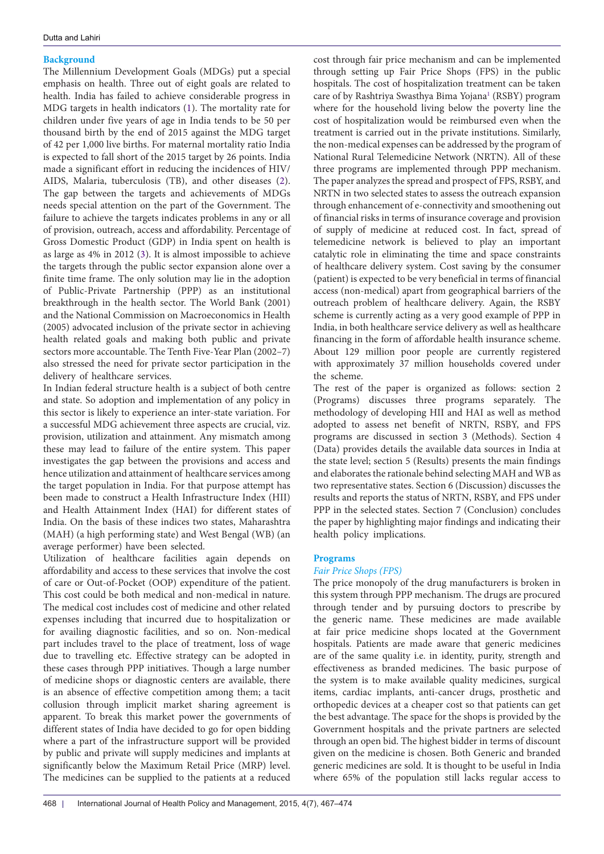# **Background**

The Millennium Development Goals (MDGs) put a special emphasis on health. Three out of eight goals are related to health. India has failed to achieve considerable progress in MDG targets in health indicators (1). The mortality rate for children under five years of age in India tends to be 50 per thousand birth by the end of 2015 against the MDG target of 42 per 1,000 live births. For maternal mortality ratio India is expected to fall short of the 2015 target by 26 points. India made a significant effort in reducing the incidences of HIV/ AIDS, Malaria, tuberculosis (TB), and other diseases ([2\)](#page-7-2). The gap between the targets and achievements of MDGs needs special attention on the part of the Government. The failure to achieve the targets indicates problems in any or all of provision, outreach, access and affordability. Percentage of Gross Domestic Product (GDP) in India spent on health is as large as 4% in 2012 [\(3](#page-7-3)). It is almost impossible to achieve the targets through the public sector expansion alone over a finite time frame. The only solution may lie in the adoption of Public-Private Partnership (PPP) as an institutional breakthrough in the health sector. The World Bank (2001) and the National Commission on Macroeconomics in Health (2005) advocated inclusion of the private sector in achieving health related goals and making both public and private sectors more accountable. The Tenth Five-Year Plan (2002–7) also stressed the need for private sector participation in the delivery of healthcare services.

In Indian federal structure health is a subject of both centre and state. So adoption and implementation of any policy in this sector is likely to experience an inter-state variation. For a successful MDG achievement three aspects are crucial, viz. provision, utilization and attainment. Any mismatch among these may lead to failure of the entire system. This paper investigates the gap between the provisions and access and hence utilization and attainment of healthcare services among the target population in India. For that purpose attempt has been made to construct a Health Infrastructure Index (HII) and Health Attainment Index (HAI) for different states of India. On the basis of these indices two states, Maharashtra (MAH) (a high performing state) and West Bengal (WB) (an average performer) have been selected.

Utilization of healthcare facilities again depends on affordability and access to these services that involve the cost of care or Out-of-Pocket (OOP) expenditure of the patient. This cost could be both medical and non-medical in nature. The medical cost includes cost of medicine and other related expenses including that incurred due to hospitalization or for availing diagnostic facilities, and so on. Non-medical part includes travel to the place of treatment, loss of wage due to travelling etc. Effective strategy can be adopted in these cases through PPP initiatives. Though a large number of medicine shops or diagnostic centers are available, there is an absence of effective competition among them; a tacit collusion through implicit market sharing agreement is apparent. To break this market power the governments of different states of India have decided to go for open bidding where a part of the infrastructure support will be provided by public and private will supply medicines and implants at significantly below the Maximum Retail Price (MRP) level. The medicines can be supplied to the patients at a reduced

cost through fair price mechanism and can be implemented through setting up Fair Price Shops (FPS) in the public hospitals. The cost of hospitalization treatment can be taken care of by Rashtriya Swasthya Bima Yojana<sup>1</sup> (RSBY) program where for the household living below the poverty line the cost of hospitalization would be reimbursed even when the treatment is carried out in the private institutions. Similarly, the non-medical expenses can be addressed by the program of National Rural Telemedicine Network (NRTN). All of these three programs are implemented through PPP mechanism. The paper analyzes the spread and prospect of FPS, RSBY, and NRTN in two selected states to assess the outreach expansion through enhancement of e-connectivity and smoothening out of financial risks in terms of insurance coverage and provision of supply of medicine at reduced cost. In fact, spread of telemedicine network is believed to play an important catalytic role in eliminating the time and space constraints of healthcare delivery system. Cost saving by the consumer (patient) is expected to be very beneficial in terms of financial access (non-medical) apart from geographical barriers of the outreach problem of healthcare delivery. Again, the RSBY scheme is currently acting as a very good example of PPP in India, in both healthcare service delivery as well as healthcare financing in the form of affordable health insurance scheme. About 129 million poor people are currently registered with approximately 37 million households covered under the scheme.

The rest of the paper is organized as follows: section 2 (Programs) discusses three programs separately. The methodology of developing HII and HAI as well as method adopted to assess net benefit of NRTN, RSBY, and FPS programs are discussed in section 3 (Methods). Section 4 (Data) provides details the available data sources in India at the state level; section 5 (Results) presents the main findings and elaborates the rationale behind selecting MAH and WB as two representative states. Section 6 (Discussion) discusses the results and reports the status of NRTN, RSBY, and FPS under PPP in the selected states. Section 7 (Conclusion) concludes the paper by highlighting major findings and indicating their health policy implications.

# **Programs**

# *Fair Price Shops (FPS)*

The price monopoly of the drug manufacturers is broken in this system through PPP mechanism. The drugs are procured through tender and by pursuing doctors to prescribe by the generic name. These medicines are made available at fair price medicine shops located at the Government hospitals. Patients are made aware that generic medicines are of the same quality i.e. in identity, purity, strength and effectiveness as branded medicines. The basic purpose of the system is to make available quality medicines, surgical items, cardiac implants, anti-cancer drugs, prosthetic and orthopedic devices at a cheaper cost so that patients can get the best advantage. The space for the shops is provided by the Government hospitals and the private partners are selected through an open bid. The highest bidder in terms of discount given on the medicine is chosen. Both Generic and branded generic medicines are sold. It is thought to be useful in India where 65% of the population still lacks regular access to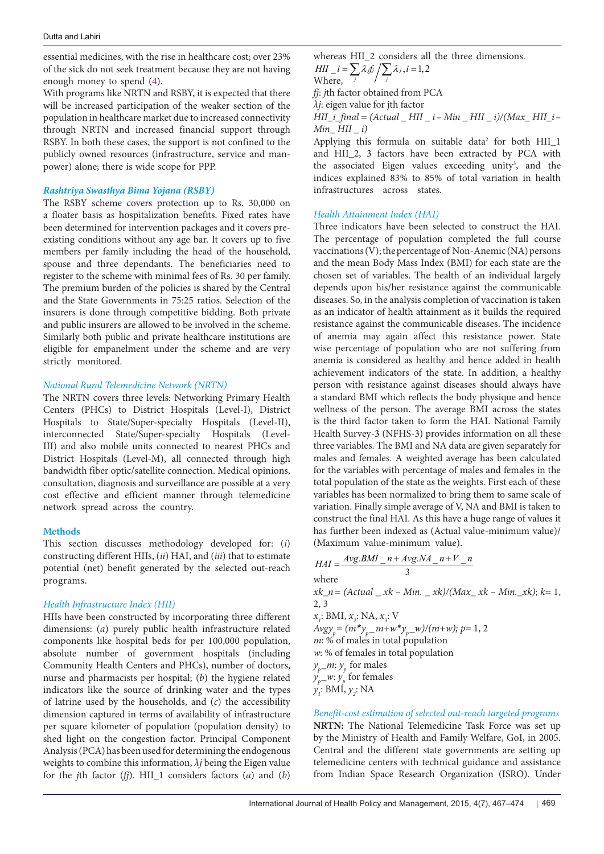essential medicines, with the rise in healthcare cost; over 23% of the sick do not seek treatment because they are not having enough money to spend ([4\)](#page-7-5).

With programs like NRTN and RSBY, it is expected that there will be increased participation of the weaker section of the population in healthcare market due to increased connectivity through NRTN and increased financial support through RSBY. In both these cases, the support is not confined to the publicly owned resources (infrastructure, service and manpower) alone; there is wide scope for PPP.

## *Rashtriya Swasthya Bima Yojana (RSBY)*

The RSBY scheme covers protection up to Rs. 30,000 on a floater basis as hospitalization benefits. Fixed rates have been determined for intervention packages and it covers preexisting conditions without any age bar. It covers up to five members per family including the head of the household, spouse and three dependants. The beneficiaries need to register to the scheme with minimal fees of Rs. 30 per family. The premium burden of the policies is shared by the Central and the State Governments in 75:25 ratios. Selection of the insurers is done through competitive bidding. Both private and public insurers are allowed to be involved in the scheme. Similarly both public and private healthcare institutions are eligible for empanelment under the scheme and are very strictly monitored.

## *National Rural Telemedicine Network (NRTN)*

The NRTN covers three levels: Networking Primary Health Centers (PHCs) to District Hospitals (Level-I), District Hospitals to State/Super-specialty Hospitals (Level-II), interconnected State/Super-specialty Hospitals (Level-III) and also mobile units connected to nearest PHCs and District Hospitals (Level-M), all connected through high bandwidth fiber optic/satellite connection. Medical opinions, consultation, diagnosis and surveillance are possible at a very cost effective and efficient manner through telemedicine network spread across the country.

## **Methods**

This section discusses methodology developed for: (*i*) constructing different HIIs, (*ii*) HAI, and (*iii*) that to estimate potential (net) benefit generated by the selected out-reach programs.

# *Health Infrastructure Index (HII)*

HIIs have been constructed by incorporating three different dimensions: (*a*) purely public health infrastructure related components like hospital beds for per 100,000 population, absolute number of government hospitals (including Community Health Centers and PHCs), number of doctors, nurse and pharmacists per hospital; (*b*) the hygiene related indicators like the source of drinking water and the types of latrine used by the households, and (*c*) the accessibility dimension captured in terms of availability of infrastructure per square kilometer of population (population density) to shed light on the congestion factor. Principal Component Analysis (PCA) has been used for determining the endogenous weights to combine this information, *λj* being the Eigen value for the *j*th factor (*fj*). HII\_1 considers factors (*a*) and (*b*)

whereas HII\_2 considers all the three dimensions.  $(i = \sum \lambda_i f_j / \sum \lambda_j, i = 1, 2$ *HII*  $i = \sum_{j} \lambda_{j} f_{j} / \sum_{j} \lambda_{j}$ ,  $i =$ Where,

*fj*: *j*th factor obtained from PCA

*λj*: eigen value for jth factor

*HII\_i\_final = (Actual \_ HII \_ i– Min \_ HII \_ i)/(Max\_ HII\_i– Min\_ HII \_ i)*

Applying this formula on suitable data<sup>[2](#page-7-6)</sup> for both HII\_1 and HII 2, 3 factors have been extracted by PCA with the associated Eigen values exceeding unity<sup>[3](#page-7-7)</sup>, and the indices explained 83% to 85% of total variation in health infrastructures across states.

### *Health Attainment Index (HAI)*

Three indicators have been selected to construct the HAI. The percentage of population completed the full course vaccinations (V); the percentage of Non-Anemic (NA) persons and the mean Body Mass Index (BMI) for each state are the chosen set of variables. The health of an individual largely depends upon his/her resistance against the communicable diseases. So, in the analysis completion of vaccination is taken as an indicator of health attainment as it builds the required resistance against the communicable diseases. The incidence of anemia may again affect this resistance power. State wise percentage of population who are not suffering from anemia is considered as healthy and hence added in health achievement indicators of the state. In addition, a healthy person with resistance against diseases should always have a standard BMI which reflects the body physique and hence wellness of the person. The average BMI across the states is the third factor taken to form the HAI. National Family Health Survey-3 (NFHS-3) provides information on all these three variables. The BMI and NA data are given separately for males and females. A weighted average has been calculated for the variables with percentage of males and females in the total population of the state as the weights. First each of these variables has been normalized to bring them to same scale of variation. Finally simple average of V, NA and BMI is taken to construct the final HAI. As this have a huge range of values it has further been indexed as (Actual value-minimum value)/ (Maximum value-minimum value).

$$
HAI = \frac{Avg.BMI_n + Avg.NA_n + V_n}{3}
$$
  
where  
 $xk_n = (Actual_xk - Min_xk)/(Max_xk - Min_xk); k = 1,$   
2, 3  
 $x_i$ : BMI,  $x_i$ : NA,  $x_i$ : V  
 $Avgy_p = (m * y_p_m + w * y_p_w)/(m + w); p = 1, 2$   
 $m: % of males in total population $w: % of females in total population$$ 

 $y_{p}$ *m*:  $y_{p}$  for males

 $y_p$ <sub>p</sub> $\ldots$  *y<sub>p</sub>* for females  $y_i$ : BMI,  $y_j$ : NA

*Benefit-cost estimation of selected out-reach targeted programs* **NRTN:** The National Telemedicine Task Force was set up by the Ministry of Health and Family Welfare, GoI, in 2005. Central and the different state governments are setting up telemedicine centers with technical guidance and assistance from Indian Space Research Organization (ISRO). Under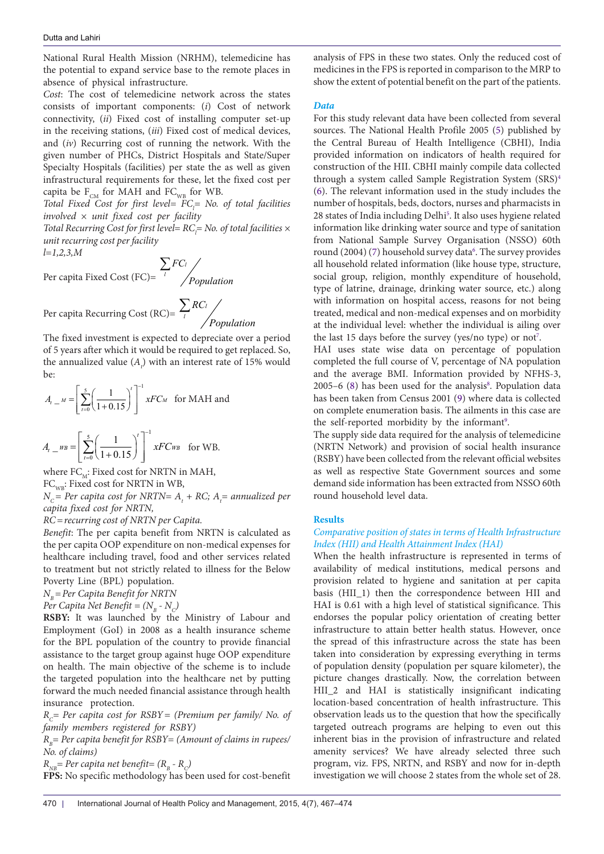National Rural Health Mission (NRHM), telemedicine has the potential to expand service base to the remote places in absence of physical infrastructure.

*Cost*: The cost of telemedicine network across the states consists of important components: (*i*) Cost of network connectivity, (*ii*) Fixed cost of installing computer set-up in the receiving stations, (*iii*) Fixed cost of medical devices, and (*iv*) Recurring cost of running the network. With the given number of PHCs, District Hospitals and State/Super Specialty Hospitals (facilities) per state the as well as given infrastructural requirements for these, let the fixed cost per capita be  $F_{CM}$  for MAH and  $FC_{WB}$  for WB.

*Total Fixed Cost for first level= FC*<sub>*l</sub>*= *No. of total facilities*</sub> *involved × unit fixed cost per facility*

*Total Recurring Cost for first level= RC*<sub>*l</sub>= No. of total facilities*  $\times$ </sub> *unit recurring cost per facility*

*l=1,2,3,M*

Per capita Fixed Cost (FC)= *l l FC Population* ∑

Per capita Recurring Cost (RC)=  $\frac{\sum_{l} RC_l}{l}$ *RC* ∑

The fixed investment is expected to depreciate over a period of 5 years after which it would be required to get replaced. So, the annualized value  $(A_t)$  with an interest rate of 15% would be:

*Population*

$$
A_{t-M} = \left[\sum_{t=0}^{5} \left(\frac{1}{1+0.15}\right)^{t}\right]^{-1} x F C_M \quad \text{for MAH and}
$$

$$
A_{t} = \left[ \sum_{t=0}^{5} \left( \frac{1}{1+0.15} \right)^{t} \right]^{-1} x F C w_{B} \text{ for WB.}
$$

where  $FC_M$ : Fixed cost for NRTN in MAH,

 $FC_{WR}$ : Fixed cost for NRTN in WB,

 $N_c$  = Per capita cost for NRTN=  $A_t$  + RC;  $A_t$  = annualized per *capita fixed cost for NRTN,*

*RC=recurring cost of NRTN per Capita.*

*Benefit*: The per capita benefit from NRTN is calculated as the per capita OOP expenditure on non-medical expenses for healthcare including travel, food and other services related to treatment but not strictly related to illness for the Below Poverty Line (BPL) population.

*NB=Per Capita Benefit for NRTN*

*Per Capita Net Benefit =*  $(N_p \cdot N_c)$ 

**RSBY:** It was launched by the Ministry of Labour and Employment (GoI) in 2008 as a health insurance scheme for the BPL population of the country to provide financial assistance to the target group against huge OOP expenditure on health. The main objective of the scheme is to include the targeted population into the healthcare net by putting forward the much needed financial assistance through health insurance protection.

 $R<sub>c</sub>=$  Per capita cost for RSBY = (Premium per family/ No. of *family members registered for RSBY)*

*RB= Per capita benefit for RSBY= (Amount of claims in rupees/ No. of claims)*

 $R_{NB}$ = Per capita net benefit=  $(R_B - R_C)$ 

**FPS:** No specific methodology has been used for cost-benefit

analysis of FPS in these two states. Only the reduced cost of medicines in the FPS is reported in comparison to the MRP to show the extent of potential benefit on the part of the patients.

# *Data*

For this study relevant data have been collected from several sources. The National Health Profile 2005 ([5\)](#page-7-8) published by the Central Bureau of Health Intelligence (CBHI), India provided information on indicators of health required for construction of the HII. CBHI mainly compile data collected through a system called Sample Registration System (SRS)<sup>4</sup> [\(6](#page-7-10)). The relevant information used in the study includes the number of hospitals, beds, doctors, nurses and pharmacists in 28 states of India including Delhi<sup>5</sup>. It also uses hygiene related information like drinking water source and type of sanitation from National Sample Survey Organisation (NSSO) 60th round (2004) ([7\)](#page-7-12) household survey data<sup>[6](#page-7-13)</sup>. The survey provides all household related information (like house type, structure, social group, religion, monthly expenditure of household, type of latrine, drainage, drinking water source, etc.) along with information on hospital access, reasons for not being treated, medical and non-medical expenses and on morbidity at the individual level: whether the individual is ailing over the last 15 days before the survey (yes/no type) or  $not<sup>7</sup>$  $not<sup>7</sup>$  $not<sup>7</sup>$ .

HAI uses state wise data on percentage of population completed the full course of V, percentage of NA population and the average BMI. Information provided by NFHS-3,  $2005-6$  [\(8\)](#page-7-15) has been used for the analysis<sup>8</sup>. Population data has been taken from Census 2001 ([9\)](#page-7-17) where data is collected on complete enumeration basis. The ailments in this case are the self-reported morbidity by the informant<sup>9</sup>.

The supply side data required for the analysis of telemedicine (NRTN Network) and provision of social health insurance (RSBY) have been collected from the relevant official websites as well as respective State Government sources and some demand side information has been extracted from NSSO 60th round household level data.

## **Results**

# *Comparative position of states in terms of Health Infrastructure Index (HII) and Health Attainment Index (HAI)*

When the health infrastructure is represented in terms of availability of medical institutions, medical persons and provision related to hygiene and sanitation at per capita basis (HII\_1) then the correspondence between HII and HAI is 0.61 with a high level of statistical significance. This endorses the popular policy orientation of creating better infrastructure to attain better health status. However, once the spread of this infrastructure across the state has been taken into consideration by expressing everything in terms of population density (population per square kilometer), the picture changes drastically. Now, the correlation between HII\_2 and HAI is statistically insignificant indicating location-based concentration of health infrastructure. This observation leads us to the question that how the specifically targeted outreach programs are helping to even out this inherent bias in the provision of infrastructure and related amenity services? We have already selected three such program, viz. FPS, NRTN, and RSBY and now for in-depth investigation we will choose 2 states from the whole set of 28.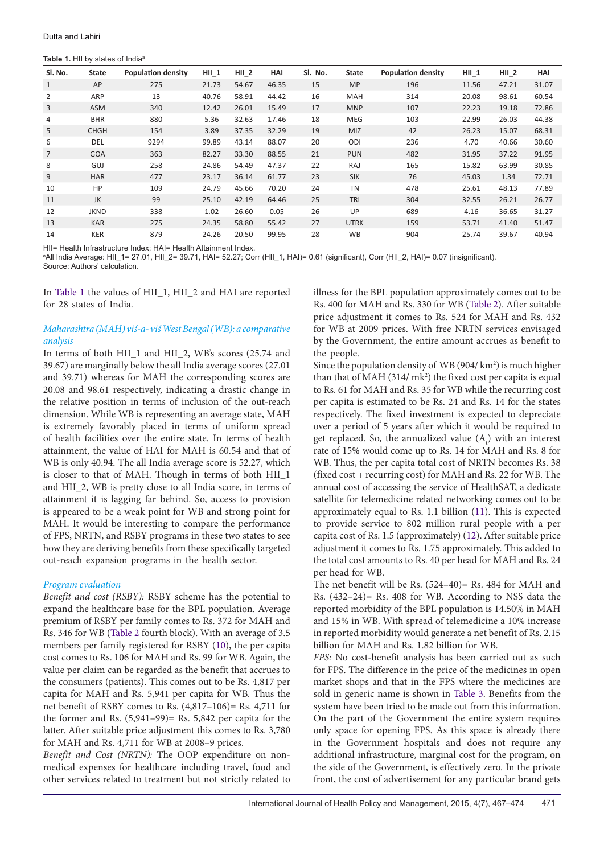## <span id="page-4-0"></span>**Table 1. HII by states of India<sup>®</sup>**

Source: Authors' calculation.

| SI. No.        | <b>State</b> | <b>Population density</b> | $HII$ 1 | HII <sub>2</sub> | HAI   | SI. No. | State       | <b>Population density</b> | $HII$ 1 | $HII_2$ | HAI   |
|----------------|--------------|---------------------------|---------|------------------|-------|---------|-------------|---------------------------|---------|---------|-------|
| 1              | AP           | 275                       | 21.73   | 54.67            | 46.35 | 15      | <b>MP</b>   | 196                       | 11.56   | 47.21   | 31.07 |
| $\overline{2}$ | ARP          | 13                        | 40.76   | 58.91            | 44.42 | 16      | <b>MAH</b>  | 314                       | 20.08   | 98.61   | 60.54 |
| 3              | <b>ASM</b>   | 340                       | 12.42   | 26.01            | 15.49 | 17      | <b>MNP</b>  | 107                       | 22.23   | 19.18   | 72.86 |
| 4              | <b>BHR</b>   | 880                       | 5.36    | 32.63            | 17.46 | 18      | <b>MEG</b>  | 103                       | 22.99   | 26.03   | 44.38 |
| 5              | <b>CHGH</b>  | 154                       | 3.89    | 37.35            | 32.29 | 19      | <b>MIZ</b>  | 42                        | 26.23   | 15.07   | 68.31 |
| 6              | <b>DEL</b>   | 9294                      | 99.89   | 43.14            | 88.07 | 20      | ODI         | 236                       | 4.70    | 40.66   | 30.60 |
| $\overline{7}$ | <b>GOA</b>   | 363                       | 82.27   | 33.30            | 88.55 | 21      | <b>PUN</b>  | 482                       | 31.95   | 37.22   | 91.95 |
| 8              | GUJ          | 258                       | 24.86   | 54.49            | 47.37 | 22      | RAJ         | 165                       | 15.82   | 63.99   | 30.85 |
| 9              | <b>HAR</b>   | 477                       | 23.17   | 36.14            | 61.77 | 23      | <b>SIK</b>  | 76                        | 45.03   | 1.34    | 72.71 |
| 10             | HP           | 109                       | 24.79   | 45.66            | 70.20 | 24      | <b>TN</b>   | 478                       | 25.61   | 48.13   | 77.89 |
| 11             | JK           | 99                        | 25.10   | 42.19            | 64.46 | 25      | <b>TRI</b>  | 304                       | 32.55   | 26.21   | 26.77 |
| 12             | <b>JKND</b>  | 338                       | 1.02    | 26.60            | 0.05  | 26      | UP          | 689                       | 4.16    | 36.65   | 31.27 |
| 13             | <b>KAR</b>   | 275                       | 24.35   | 58.80            | 55.42 | 27      | <b>UTRK</b> | 159                       | 53.71   | 41.40   | 51.47 |
| 14             | KER          | 879                       | 24.26   | 20.50            | 99.95 | 28      | <b>WB</b>   | 904                       | 25.74   | 39.67   | 40.94 |

HII= Health Infrastructure Index; HAI= Health Attainment Index.

a All India Average: HII\_1= 27.01, HII\_2= 39.71, HAI= 52.27; Corr (HII\_1, HAI)= 0.61 (significant), Corr (HII\_2, HAI)= 0.07 (insignificant).

In [Table 1](#page-4-0) the values of HII\_1, HII\_2 and HAI are reported for 28 states of India.

# *Maharashtra (MAH) viś-a- viś West Bengal (WB): a comparative analysis*

In terms of both HII\_1 and HII\_2, WB's scores (25.74 and 39.67) are marginally below the all India average scores (27.01 and 39.71) whereas for MAH the corresponding scores are 20.08 and 98.61 respectively, indicating a drastic change in the relative position in terms of inclusion of the out-reach dimension. While WB is representing an average state, MAH is extremely favorably placed in terms of uniform spread of health facilities over the entire state. In terms of health attainment, the value of HAI for MAH is 60.54 and that of WB is only 40.94. The all India average score is 52.27, which is closer to that of MAH. Though in terms of both HII\_1 and HII\_2, WB is pretty close to all India score, in terms of attainment it is lagging far behind. So, access to provision is appeared to be a weak point for WB and strong point for MAH. It would be interesting to compare the performance of FPS, NRTN, and RSBY programs in these two states to see how they are deriving benefits from these specifically targeted out-reach expansion programs in the health sector.

# *Program evaluation*

*Benefit and cost (RSBY):* RSBY scheme has the potential to expand the healthcare base for the BPL population. Average premium of RSBY per family comes to Rs. 372 for MAH and Rs. 346 for WB ([Table 2](#page-5-0) fourth block). With an average of 3.5 members per family registered for RSBY ([10](#page-7-19)), the per capita cost comes to Rs. 106 for MAH and Rs. 99 for WB. Again, the value per claim can be regarded as the benefit that accrues to the consumers (patients). This comes out to be Rs. 4,817 per capita for MAH and Rs. 5,941 per capita for WB. Thus the net benefit of RSBY comes to Rs. (4,817–106)= Rs. 4,711 for the former and Rs.  $(5,941-99)$ = Rs. 5,842 per capita for the latter. After suitable price adjustment this comes to Rs. 3,780 for MAH and Rs. 4,711 for WB at 2008–9 prices.

*Benefit and Cost (NRTN):* The OOP expenditure on nonmedical expenses for healthcare including travel, food and other services related to treatment but not strictly related to

illness for the BPL population approximately comes out to be Rs. 400 for MAH and Rs. 330 for WB ([Table 2](#page-5-0)). After suitable price adjustment it comes to Rs. 524 for MAH and Rs. 432 for WB at 2009 prices. With free NRTN services envisaged by the Government, the entire amount accrues as benefit to the people.

Since the population density of  $WB(904/km<sup>2</sup>)$  is much higher than that of MAH  $(314/\text{mk}^2)$  the fixed cost per capita is equal to Rs. 61 for MAH and Rs. 35 for WB while the recurring cost per capita is estimated to be Rs. 24 and Rs. 14 for the states respectively. The fixed investment is expected to depreciate over a period of 5 years after which it would be required to get replaced. So, the annualized value  $(A_t)$  with an interest rate of 15% would come up to Rs. 14 for MAH and Rs. 8 for WB. Thus, the per capita total cost of NRTN becomes Rs. 38 (fixed cost + recurring cost) for MAH and Rs. 22 for WB. The annual cost of accessing the service of HealthSAT, a dedicate satellite for telemedicine related networking comes out to be approximately equal to Rs. 1.1 billion [\(11\)](#page-7-20). This is expected to provide service to 802 million rural people with a per capita cost of Rs. 1.5 (approximately) ([12](#page-7-21)). After suitable price adjustment it comes to Rs. 1.75 approximately. This added to the total cost amounts to Rs. 40 per head for MAH and Rs. 24 per head for WB.

The net benefit will be Rs. (524–40)= Rs. 484 for MAH and Rs. (432–24)= Rs. 408 for WB. According to NSS data the reported morbidity of the BPL population is 14.50% in MAH and 15% in WB. With spread of telemedicine a 10% increase in reported morbidity would generate a net benefit of Rs. 2.15 billion for MAH and Rs. 1.82 billion for WB.

*FPS:* No cost-benefit analysis has been carried out as such for FPS. The difference in the price of the medicines in open market shops and that in the FPS where the medicines are sold in generic name is shown in [Table 3](#page-5-1). Benefits from the system have been tried to be made out from this information. On the part of the Government the entire system requires only space for opening FPS. As this space is already there in the Government hospitals and does not require any additional infrastructure, marginal cost for the program, on the side of the Government, is effectively zero. In the private front, the cost of advertisement for any particular brand gets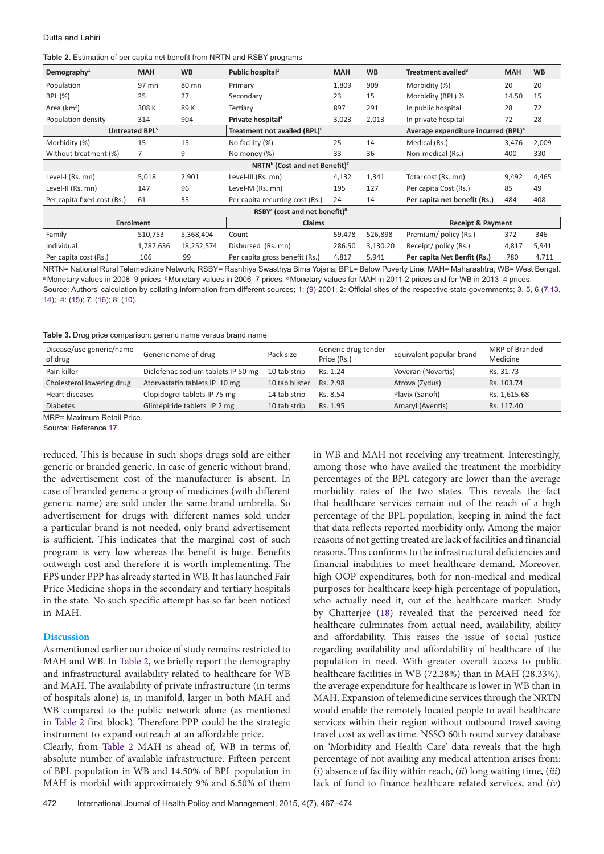<span id="page-5-0"></span>

|  |  |  | Table 2. Estimation of per capita net benefit from NRTN and RSBY programs |  |
|--|--|--|---------------------------------------------------------------------------|--|
|--|--|--|---------------------------------------------------------------------------|--|

| Demography $1$                                        | <b>MAH</b> | <b>WB</b>  | Public hospital <sup>2</sup>             | <b>MAH</b> | <b>WB</b> | Treatment availed <sup>3</sup>                  | <b>MAH</b> | <b>WB</b> |  |  |
|-------------------------------------------------------|------------|------------|------------------------------------------|------------|-----------|-------------------------------------------------|------------|-----------|--|--|
| Population                                            | 97 mn      | 80 mn      | Primary                                  | 1,809      | 909       | Morbidity (%)                                   | 20         | 20        |  |  |
| BPL (%)                                               | 25         | 27         | Secondary                                | 23         | 15        | Morbidity (BPL) %                               | 14.50      | 15        |  |  |
| Area $(km2)$                                          | 308K       | 89K        | Tertiary                                 | 897        | 291       | In public hospital                              | 28         | 72        |  |  |
| Population density                                    | 314        | 904        | Private hospital <sup>4</sup>            | 3,023      | 2,013     | In private hospital                             | 72         | 28        |  |  |
| Untreated BPL <sup>5</sup>                            |            |            | Treatment not availed (BPL) <sup>6</sup> |            |           | Average expenditure incurred (BPL) <sup>a</sup> |            |           |  |  |
| Morbidity (%)                                         | 15         | 15         | No facility (%)                          | 25         | 14        | Medical (Rs.)                                   | 3,476      | 2,009     |  |  |
| Without treatment (%)                                 | 7          | 9          | No money (%)                             | 33         | 36        | Non-medical (Rs.)                               | 400        | 330       |  |  |
| NRTN <sup>b</sup> (Cost and net Benefit) <sup>7</sup> |            |            |                                          |            |           |                                                 |            |           |  |  |
| Level-I (Rs. mn)                                      | 5,018      | 2,901      | Level-III (Rs. mn)                       | 4,132      | 1,341     | Total cost (Rs. mn)                             | 9,492      | 4,465     |  |  |
| Level-II (Rs. mn)                                     | 147        | 96         | Level-M (Rs. mn)                         | 195        | 127       | Per capita Cost (Rs.)                           | 85         | 49        |  |  |
| Per capita fixed cost (Rs.)                           | 61         | 35         | Per capita recurring cost (Rs.)          | 24         | 14        | Per capita net benefit (Rs.)                    | 484        | 408       |  |  |
| $RSBYc$ (cost and net benefit) <sup>8</sup>           |            |            |                                          |            |           |                                                 |            |           |  |  |
| <b>Enrolment</b>                                      |            |            | <b>Claims</b>                            |            |           | <b>Receipt &amp; Payment</b>                    |            |           |  |  |
| Family                                                | 510,753    | 5,368,404  | Count                                    | 59,478     | 526,898   | Premium/policy (Rs.)                            | 372        | 346       |  |  |
| Individual                                            | 1,787,636  | 18,252,574 | Disbursed (Rs. mn)                       | 286.50     | 3,130.20  | Receipt/ policy (Rs.)                           | 4,817      | 5,941     |  |  |
| Per capita cost (Rs.)                                 | 106        | 99         | Per capita gross benefit (Rs.)           | 4,817      | 5,941     | Per capita Net Benfit (Rs.)                     | 780        | 4,711     |  |  |

NRTN= National Rural Telemedicine Network; RSBY= Rashtriya Swasthya Bima Yojana; BPL= Below Poverty Line; MAH= Maharashtra; WB= West Bengal. ª Monetary values in 2008–9 prices. ♭Monetary values in 2006–7 prices. ◊Monetary values for MAH in 2011-2 prices and for WB in 2013–4 prices. Source: Authors' calculation by collating information from different sources; 1: ([9](#page-7-17)) 2001; 2: Official sites of the respective state governments; 3, 5, 6 ([7](#page-7-12)[,13,](#page-7-23) [14](#page-7-24)); 4: (15); 7: ([16](#page-7-25)); 8: ([10](#page-7-19)).

<span id="page-5-1"></span>**Table 3.** Drug price comparison: generic name versus brand name

| Disease/use generic/name<br>of drug | Generic name of drug               | Pack size      | Generic drug tender<br>Price (Rs.) | Equivalent popular brand | MRP of Branded<br>Medicine |
|-------------------------------------|------------------------------------|----------------|------------------------------------|--------------------------|----------------------------|
| Pain killer                         | Diclofenac sodium tablets IP 50 mg | 10 tab strip   | Rs. 1.24                           | Voveran (Novartis)       | Rs. 31.73                  |
| Cholesterol lowering drug           | Atorvastatin tablets IP 10 mg      | 10 tab blister | Rs. 2.98                           | Atrova (Zydus)           | Rs. 103.74                 |
| Heart diseases                      | Clopidogrel tablets IP 75 mg       | 14 tab strip   | Rs. 8.54                           | Plavix (Sanofi)          | Rs. 1,615.68               |
| <b>Diabetes</b>                     | Glimepiride tablets IP 2 mg        | 10 tab strip   | Rs. 1.95                           | Amaryl (Aventis)         | Rs. 117.40                 |

MRP= Maximum Retail Price.

Source: Reference [17](#page-7-26).

reduced. This is because in such shops drugs sold are either generic or branded generic. In case of generic without brand, the advertisement cost of the manufacturer is absent. In case of branded generic a group of medicines (with different generic name) are sold under the same brand umbrella. So advertisement for drugs with different names sold under a particular brand is not needed, only brand advertisement is sufficient. This indicates that the marginal cost of such program is very low whereas the benefit is huge. Benefits outweigh cost and therefore it is worth implementing. The FPS under PPP has already started in WB. It has launched Fair Price Medicine shops in the secondary and tertiary hospitals in the state. No such specific attempt has so far been noticed in MAH.

### **Discussion**

As mentioned earlier our choice of study remains restricted to MAH and WB. In [Table 2](#page-5-0), we briefly report the demography and infrastructural availability related to healthcare for WB and MAH. The availability of private infrastructure (in terms of hospitals alone) is, in manifold, larger in both MAH and WB compared to the public network alone (as mentioned in [Table 2](#page-5-0) first block). Therefore PPP could be the strategic instrument to expand outreach at an affordable price. Clearly, from [Table 2](#page-5-0) MAH is ahead of, WB in terms of, absolute number of available infrastructure. Fifteen percent of BPL population in WB and 14.50% of BPL population in MAH is morbid with approximately 9% and 6.50% of them

in WB and MAH not receiving any treatment. Interestingly, among those who have availed the treatment the morbidity percentages of the BPL category are lower than the average morbidity rates of the two states. This reveals the fact that healthcare services remain out of the reach of a high percentage of the BPL population, keeping in mind the fact that data reflects reported morbidity only. Among the major reasons of not getting treated are lack of facilities and financial reasons. This conforms to the infrastructural deficiencies and financial inabilities to meet healthcare demand. Moreover, high OOP expenditures, both for non-medical and medical purposes for healthcare keep high percentage of population, who actually need it, out of the healthcare market. Study by Chatterjee ([18](#page-7-22)) revealed that the perceived need for healthcare culminates from actual need, availability, ability and affordability. This raises the issue of social justice regarding availability and affordability of healthcare of the population in need. With greater overall access to public healthcare facilities in WB (72.28%) than in MAH (28.33%), the average expenditure for healthcare is lower in WB than in MAH. Expansion of telemedicine services through the NRTN would enable the remotely located people to avail healthcare services within their region without outbound travel saving travel cost as well as time. NSSO 60th round survey database on 'Morbidity and Health Care' data reveals that the high percentage of not availing any medical attention arises from: (*i*) absence of facility within reach, (*ii*) long waiting time, (*iii*) lack of fund to finance healthcare related services, and (*iv*)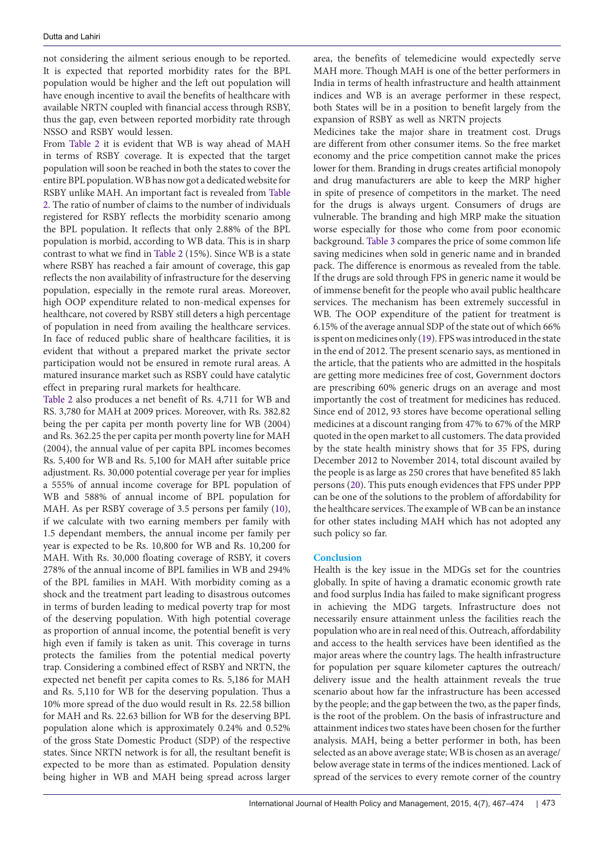not considering the ailment serious enough to be reported. It is expected that reported morbidity rates for the BPL population would be higher and the left out population will have enough incentive to avail the benefits of healthcare with available NRTN coupled with financial access through RSBY, thus the gap, even between reported morbidity rate through NSSO and RSBY would lessen.

From [Table 2](#page-5-0) it is evident that WB is way ahead of MAH in terms of RSBY coverage. It is expected that the target population will soon be reached in both the states to cover the entire BPL population. WB has now got a dedicated website for RSBY unlike MAH. An important fact is revealed from [Table](#page-5-0) [2](#page-5-0). The ratio of number of claims to the number of individuals registered for RSBY reflects the morbidity scenario among the BPL population. It reflects that only 2.88% of the BPL population is morbid, according to WB data. This is in sharp contrast to what we find in [Table 2](#page-5-0) (15%). Since WB is a state where RSBY has reached a fair amount of coverage, this gap reflects the non availability of infrastructure for the deserving population, especially in the remote rural areas. Moreover, high OOP expenditure related to non-medical expenses for healthcare, not covered by RSBY still deters a high percentage of population in need from availing the healthcare services. In face of reduced public share of healthcare facilities, it is evident that without a prepared market the private sector participation would not be ensured in remote rural areas. A matured insurance market such as RSBY could have catalytic effect in preparing rural markets for healthcare.

[Table 2](#page-5-0) also produces a net benefit of Rs. 4,711 for WB and RS. 3,780 for MAH at 2009 prices. Moreover, with Rs. 382.82 being the per capita per month poverty line for WB (2004) and Rs. 362.25 the per capita per month poverty line for MAH (2004), the annual value of per capita BPL incomes becomes Rs. 5,400 for WB and Rs. 5,100 for MAH after suitable price adjustment. Rs. 30,000 potential coverage per year for implies a 555% of annual income coverage for BPL population of WB and 588% of annual income of BPL population for MAH. As per RSBY coverage of 3.5 persons per family ([10\)](#page-7-19), if we calculate with two earning members per family with 1.5 dependant members, the annual income per family per year is expected to be Rs. 10,800 for WB and Rs. 10,200 for MAH. With Rs. 30,000 floating coverage of RSBY, it covers 278% of the annual income of BPL families in WB and 294% of the BPL families in MAH. With morbidity coming as a shock and the treatment part leading to disastrous outcomes in terms of burden leading to medical poverty trap for most of the deserving population. With high potential coverage as proportion of annual income, the potential benefit is very high even if family is taken as unit. This coverage in turns protects the families from the potential medical poverty trap. Considering a combined effect of RSBY and NRTN, the expected net benefit per capita comes to Rs. 5,186 for MAH and Rs. 5,110 for WB for the deserving population. Thus a 10% more spread of the duo would result in Rs. 22.58 billion for MAH and Rs. 22.63 billion for WB for the deserving BPL population alone which is approximately 0.24% and 0.52% of the gross State Domestic Product (SDP) of the respective states. Since NRTN network is for all, the resultant benefit is expected to be more than as estimated. Population density being higher in WB and MAH being spread across larger

area, the benefits of telemedicine would expectedly serve MAH more. Though MAH is one of the better performers in India in terms of health infrastructure and health attainment indices and WB is an average performer in these respect, both States will be in a position to benefit largely from the expansion of RSBY as well as NRTN projects

Medicines take the major share in treatment cost. Drugs are different from other consumer items. So the free market economy and the price competition cannot make the prices lower for them. Branding in drugs creates artificial monopoly and drug manufacturers are able to keep the MRP higher in spite of presence of competitors in the market. The need for the drugs is always urgent. Consumers of drugs are vulnerable. The branding and high MRP make the situation worse especially for those who come from poor economic background. [Table 3](#page-5-1) compares the price of some common life saving medicines when sold in generic name and in branded pack. The difference is enormous as revealed from the table. If the drugs are sold through FPS in generic name it would be of immense benefit for the people who avail public healthcare services. The mechanism has been extremely successful in WB. The OOP expenditure of the patient for treatment is 6.15% of the average annual SDP of the state out of which 66% is spent on medicines only ([19](#page-7-27)). FPS was introduced in the state in the end of 2012. The present scenario says, as mentioned in the article, that the patients who are admitted in the hospitals are getting more medicines free of cost, Government doctors are prescribing 60% generic drugs on an average and most importantly the cost of treatment for medicines has reduced. Since end of 2012, 93 stores have become operational selling medicines at a discount ranging from 47% to 67% of the MRP quoted in the open market to all customers. The data provided by the state health ministry shows that for 35 FPS, during December 2012 to November 2014, total discount availed by the people is as large as 250 crores that have benefited 85 lakh persons [\(20](#page-7-28)). This puts enough evidences that FPS under PPP can be one of the solutions to the problem of affordability for the healthcare services. The example of WB can be an instance for other states including MAH which has not adopted any such policy so far.

## **Conclusion**

Health is the key issue in the MDGs set for the countries globally. In spite of having a dramatic economic growth rate and food surplus India has failed to make significant progress in achieving the MDG targets. Infrastructure does not necessarily ensure attainment unless the facilities reach the population who are in real need of this. Outreach, affordability and access to the health services have been identified as the major areas where the country lags. The health infrastructure for population per square kilometer captures the outreach/ delivery issue and the health attainment reveals the true scenario about how far the infrastructure has been accessed by the people; and the gap between the two, as the paper finds, is the root of the problem. On the basis of infrastructure and attainment indices two states have been chosen for the further analysis. MAH, being a better performer in both, has been selected as an above average state; WB is chosen as an average/ below average state in terms of the indices mentioned. Lack of spread of the services to every remote corner of the country